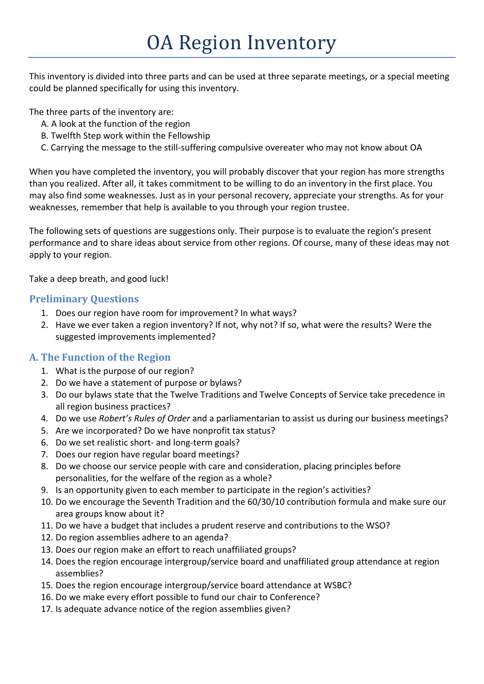# OA Region Inventory

This inventory is divided into three parts and can be used at three separate meetings, or a special meeting could be planned specifically for using this inventory.

The three parts of the inventory are:

- A. A look at the function of the region
- B. Twelfth Step work within the Fellowship
- C. Carrying the message to the still-suffering compulsive overeater who may not know about OA

When you have completed the inventory, you will probably discover that your region has more strengths than you realized. After all, it takes commitment to be willing to do an inventory in the first place. You may also find some weaknesses. Just as in your personal recovery, appreciate your strengths. As for your weaknesses, remember that help is available to you through your region trustee.

The following sets of questions are suggestions only. Their purpose is to evaluate the region's present performance and to share ideas about service from other regions. Of course, many of these ideas may not apply to your region.

Take a deep breath, and good luck!

#### **Preliminary Questions**

- 1. Does our region have room for improvement? In what ways?
- 2. Have we ever taken a region inventory? If not, why not? If so, what were the results? Were the suggested improvements implemented?

#### **A. The Function of the Region**

- 1. What is the purpose of our region?
- 2. Do we have a statement of purpose or bylaws?
- 3. Do our bylaws state that the Twelve Traditions and Twelve Concepts of Service take precedence in all region business practices?
- 4. Do we use *Robert's Rules of Order* and a parliamentarian to assist us during our business meetings?
- 5. Are we incorporated? Do we have nonprofit tax status?
- 6. Do we set realistic short- and long-term goals?
- 7. Does our region have regular board meetings?
- 8. Do we choose our service people with care and consideration, placing principles before personalities, for the welfare of the region as a whole?
- 9. Is an opportunity given to each member to participate in the region's activities?
- 10. Do we encourage the Seventh Tradition and the 60/30/10 contribution formula and make sure our area groups know about it?
- 11. Do we have a budget that includes a prudent reserve and contributions to the WSO?
- 12. Do region assemblies adhere to an agenda?
- 13. Does our region make an effort to reach unaffiliated groups?
- 14. Does the region encourage intergroup/service board and unaffiliated group attendance at region assemblies?
- 15. Does the region encourage intergroup/service board attendance at WSBC?
- 16. Do we make every effort possible to fund our chair to Conference?
- 17. Is adequate advance notice of the region assemblies given?